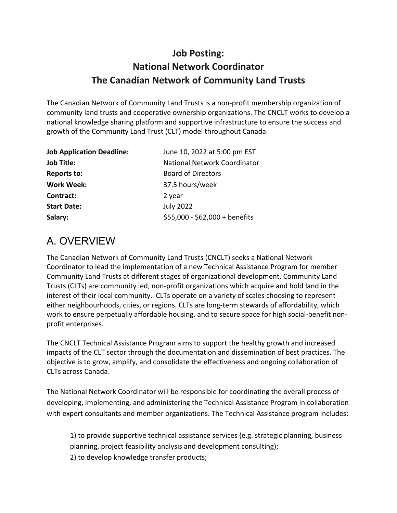### **Job Posting: National Network Coordinator The Canadian Network of Community Land Trusts**

The Canadian Network of Community Land Trusts is a non-profit membership organization of community land trusts and cooperative ownership organizations. The CNCLT works to develop a national knowledge sharing platform and supportive infrastructure to ensure the success and growth of the Community Land Trust (CLT) model throughout Canada.

| <b>Job Application Deadline:</b> | June 10, 2022 at 5:00 pm EST        |
|----------------------------------|-------------------------------------|
| <b>Job Title:</b>                | <b>National Network Coordinator</b> |
| <b>Reports to:</b>               | <b>Board of Directors</b>           |
| <b>Work Week:</b>                | 37.5 hours/week                     |
| Contract:                        | 2 year                              |
| <b>Start Date:</b>               | <b>July 2022</b>                    |
| Salary:                          | \$55,000 - \$62,000 + benefits      |

## A. OVERVIEW

The Canadian Network of Community Land Trusts (CNCLT) seeks a National Network Coordinator to lead the implementation of a new Technical Assistance Program for member Community Land Trusts at different stages of organizational development. Community Land Trusts (CLTs) are community led, non-profit organizations which acquire and hold land in the interest of their local community. CLTs operate on a variety of scales choosing to represent either neighbourhoods, cities, or regions. CLTs are long-term stewards of affordability, which work to ensure perpetually affordable housing, and to secure space for high social-benefit nonprofit enterprises.

The CNCLT Technical Assistance Program aims to support the healthy growth and increased impacts of the CLT sector through the documentation and dissemination of best practices. The objective is to grow, amplify, and consolidate the effectiveness and ongoing collaboration of CLTs across Canada.

The National Network Coordinator will be responsible for coordinating the overall process of developing, implementing, and administering the Technical Assistance Program in collaboration with expert consultants and member organizations. The Technical Assistance program includes:

1) to provide supportive technical assistance services (e.g. strategic planning, business planning, project feasibility analysis and development consulting); 2) to develop knowledge transfer products;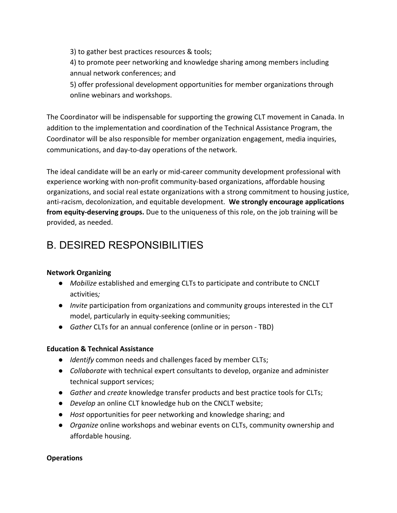3) to gather best practices resources & tools;

4) to promote peer networking and knowledge sharing among members including annual network conferences; and

5) offer professional development opportunities for member organizations through online webinars and workshops.

The Coordinator will be indispensable for supporting the growing CLT movement in Canada. In addition to the implementation and coordination of the Technical Assistance Program, the Coordinator will be also responsible for member organization engagement, media inquiries, communications, and day-to-day operations of the network.

The ideal candidate will be an early or mid-career community development professional with experience working with non-profit community-based organizations, affordable housing organizations, and social real estate organizations with a strong commitment to housing justice, anti-racism, decolonization, and equitable development. **We strongly encourage applications from equity-deserving groups.** Due to the uniqueness of this role, on the job training will be provided, as needed.

## B. DESIRED RESPONSIBILITIES

#### **Network Organizing**

- *Mobilize* established and emerging CLTs to participate and contribute to CNCLT activities*;*
- *Invite* participation from organizations and community groups interested in the CLT model, particularly in equity-seeking communities;
- *Gather* CLTs for an annual conference (online or in person TBD)

#### **Education & Technical Assistance**

- *Identify* common needs and challenges faced by member CLTs;
- *Collaborate* with technical expert consultants to develop, organize and administer technical support services;
- *Gather* and *create* knowledge transfer products and best practice tools for CLTs;
- *Develop* an online CLT knowledge hub on the CNCLT website;
- *Host* opportunities for peer networking and knowledge sharing; and
- *Organize* online workshops and webinar events on CLTs, community ownership and affordable housing.

#### **Operations**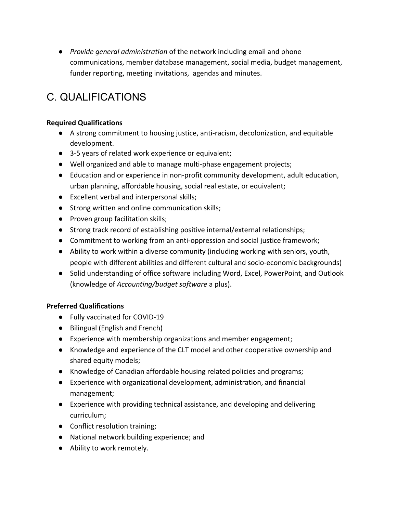● *Provide general administration* of the network including email and phone communications, member database management, social media, budget management, funder reporting, meeting invitations, agendas and minutes.

## C. QUALIFICATIONS

#### **Required Qualifications**

- A strong commitment to housing justice, anti-racism, decolonization, and equitable development.
- 3-5 years of related work experience or equivalent;
- Well organized and able to manage multi-phase engagement projects;
- Education and or experience in non-profit community development, adult education, urban planning, affordable housing, social real estate, or equivalent;
- Excellent verbal and interpersonal skills;
- Strong written and online communication skills;
- Proven group facilitation skills;
- Strong track record of establishing positive internal/external relationships;
- Commitment to working from an anti-oppression and social justice framework;
- Ability to work within a diverse community (including working with seniors, youth, people with different abilities and different cultural and socio-economic backgrounds)
- Solid understanding of office software including Word, Excel, PowerPoint, and Outlook (knowledge of *Accounting/budget software* a plus).

#### **Preferred Qualifications**

- Fully vaccinated for COVID-19
- Bilingual (English and French)
- Experience with membership organizations and member engagement;
- Knowledge and experience of the CLT model and other cooperative ownership and shared equity models;
- Knowledge of Canadian affordable housing related policies and programs;
- Experience with organizational development, administration, and financial management;
- Experience with providing technical assistance, and developing and delivering curriculum;
- Conflict resolution training;
- National network building experience; and
- Ability to work remotely.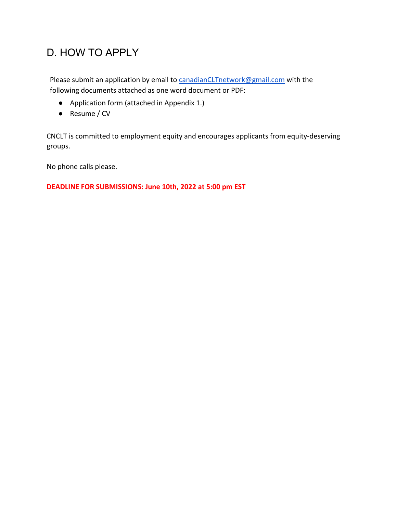## D. HOW TO APPLY

Please submit an application by email to canadianCLTnetwork@gmail.com with the following documents attached as one word document or PDF:

- Application form (attached in Appendix 1.)
- Resume / CV

CNCLT is committed to employment equity and encourages applicants from equity-deserving groups.

No phone calls please.

**DEADLINE FOR SUBMISSIONS: June 10th, 2022 at 5:00 pm EST**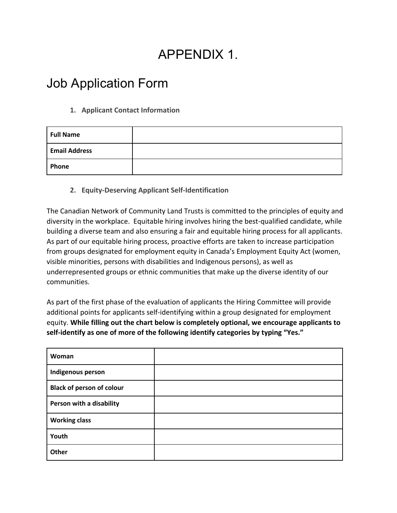# APPENDIX 1.

## Job Application Form

#### **1. Applicant Contact Information**

| <b>Full Name</b>     |  |
|----------------------|--|
| <b>Email Address</b> |  |
| Phone                |  |

#### **2. Equity-Deserving Applicant Self-Identification**

The Canadian Network of Community Land Trusts is committed to the principles of equity and diversity in the workplace. Equitable hiring involves hiring the best-qualified candidate, while building a diverse team and also ensuring a fair and equitable hiring process for all applicants. As part of our equitable hiring process, proactive efforts are taken to increase participation from groups designated for employment equity in Canada's Employment Equity Act (women, visible minorities, persons with disabilities and Indigenous persons), as well as underrepresented groups or ethnic communities that make up the diverse identity of our communities.

As part of the first phase of the evaluation of applicants the Hiring Committee will provide additional points for applicants self-identifying within a group designated for employment equity. **While filling out the chart below is completely optional, we encourage applicants to self-identify as one of more of the following identify categories by typing "Yes."**

| Woman                            |  |
|----------------------------------|--|
| Indigenous person                |  |
| <b>Black of person of colour</b> |  |
| Person with a disability         |  |
| <b>Working class</b>             |  |
| Youth                            |  |
| Other                            |  |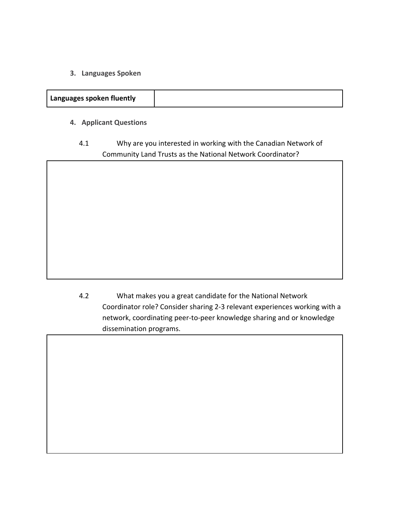**3. Languages Spoken**

| Languages spoken fluently |  |
|---------------------------|--|
|                           |  |

- **4. Applicant Questions**
	- 4.1 Why are you interested in working with the Canadian Network of Community Land Trusts as the National Network Coordinator?

4.2 What makes you a great candidate for the National Network Coordinator role? Consider sharing 2-3 relevant experiences working with a network, coordinating peer-to-peer knowledge sharing and or knowledge dissemination programs.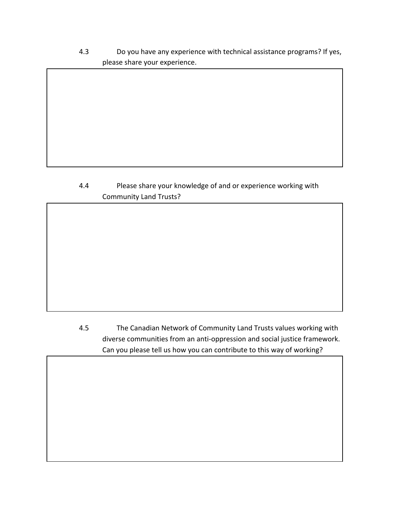4.3 Do you have any experience with technical assistance programs? If yes, please share your experience.

#### 4.4 Please share your knowledge of and or experience working with Community Land Trusts?

4.5 The Canadian Network of Community Land Trusts values working with diverse communities from an anti-oppression and social justice framework. Can you please tell us how you can contribute to this way of working?